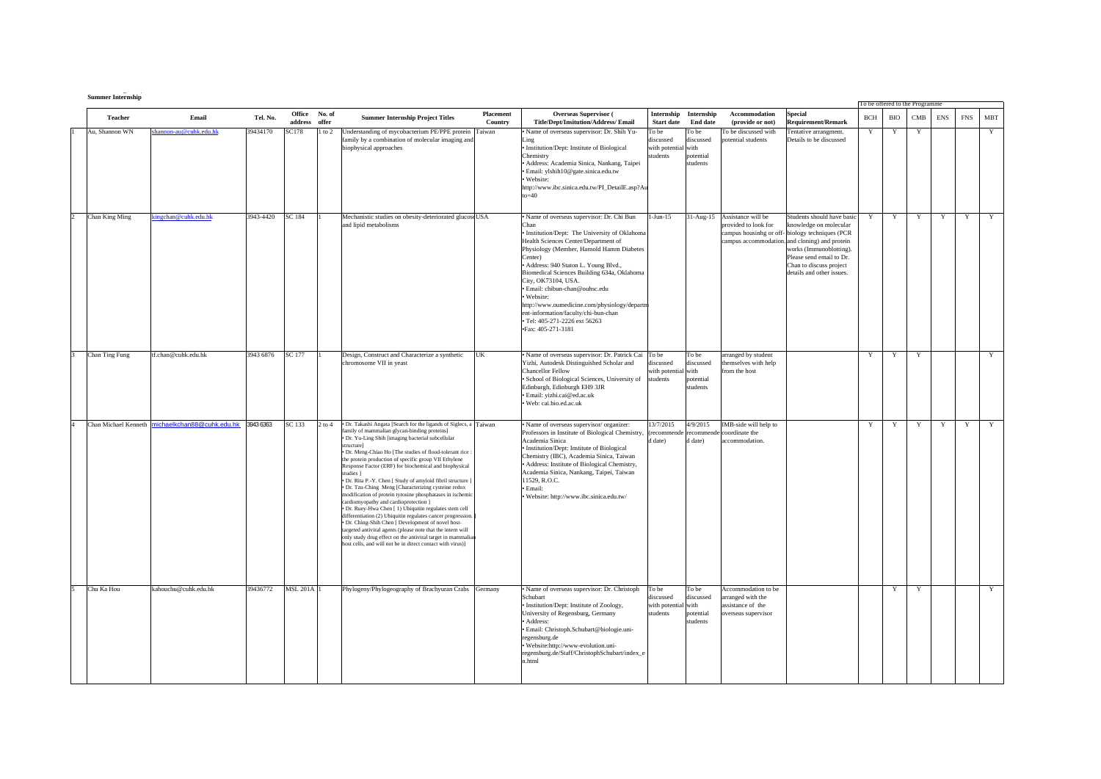| <b>Summer Internship</b> |
|--------------------------|

|                      |                            |           |                         |              |                                                                                                                                                                                                                                                                                                                                                                                                                                                                                                                                                                                                                                                                                                                                                                                                                                                                                                                                                                                       |                      |                                                                                                                                                                                                                                                                                                                                                                                                                                                                                                                  |                                                  |                                                     |                                                                                    |                                                                                                                                                                                                                                                                         | To be offered to the Programme |     |     |            |            |     |
|----------------------|----------------------------|-----------|-------------------------|--------------|---------------------------------------------------------------------------------------------------------------------------------------------------------------------------------------------------------------------------------------------------------------------------------------------------------------------------------------------------------------------------------------------------------------------------------------------------------------------------------------------------------------------------------------------------------------------------------------------------------------------------------------------------------------------------------------------------------------------------------------------------------------------------------------------------------------------------------------------------------------------------------------------------------------------------------------------------------------------------------------|----------------------|------------------------------------------------------------------------------------------------------------------------------------------------------------------------------------------------------------------------------------------------------------------------------------------------------------------------------------------------------------------------------------------------------------------------------------------------------------------------------------------------------------------|--------------------------------------------------|-----------------------------------------------------|------------------------------------------------------------------------------------|-------------------------------------------------------------------------------------------------------------------------------------------------------------------------------------------------------------------------------------------------------------------------|--------------------------------|-----|-----|------------|------------|-----|
| <b>Teacher</b>       | Email                      | Tel. No.  | Office<br>address offer | No. of       | <b>Summer Internship Project Titles</b>                                                                                                                                                                                                                                                                                                                                                                                                                                                                                                                                                                                                                                                                                                                                                                                                                                                                                                                                               | Placement<br>Country | <b>Overseas Supervisor (</b><br>Title/Dept/Insitution/Address/Email                                                                                                                                                                                                                                                                                                                                                                                                                                              | Internship<br><b>Start date</b>                  | Internship<br><b>End date</b>                       | Accommodation<br>(provide or not)                                                  | <b>Special</b><br><b>Requirement/Remark</b>                                                                                                                                                                                                                             | BCH                            | BIO | CMB | <b>ENS</b> | <b>FNS</b> | MBT |
| Au, Shannon WN       | hannon-au@cuhk.edu.hk      | 39434170  | SC178                   | $1$ to $2\,$ | Understanding of mycobacterium PE/PPE protein Taiwan<br>family by a combination of molecular imaging and<br>biophysical approaches                                                                                                                                                                                                                                                                                                                                                                                                                                                                                                                                                                                                                                                                                                                                                                                                                                                    |                      | Name of overseas supervisor: Dr. Shih Yu-<br>Ling<br>· Institution/Dept: Institute of Biological<br>Chemistry<br>Address: Academia Sinica, Nankang, Taipei<br>· Email: ylshih10@gate.sinica.edu.tw<br>Website:<br>http://www.ibc.sinica.edu.tw/PI_DetailE.asp?Au<br>$to=40$                                                                                                                                                                                                                                      | To be<br>liscussed<br>with potential<br>students | To be<br>discussed<br>with<br>potential<br>students | o be discussed with<br>otential students                                           | Fentative arrangment.<br>Details to be discussed                                                                                                                                                                                                                        | Y                              | Y   | Y   |            |            | Y   |
| Chan King Ming       | ingchan@cuhk.edu.hk        | 3943-4420 | <b>SC 184</b>           |              | Mechanistic studies on obesity-deteriorated glucose USA<br>and lipid metabolisms                                                                                                                                                                                                                                                                                                                                                                                                                                                                                                                                                                                                                                                                                                                                                                                                                                                                                                      |                      | · Name of overseas supervisor: Dr. Chi Bun<br>Chan<br>· Institution/Dept: The University of Oklahoma<br>Health Sciences Center/Department of<br>Physiology (Member, Harnold Hamm Diabetes<br>Center)<br>Address: 940 Staton L. Young Blvd.,<br>Biomedical Sciences Building 634a, Oklahoma<br>City, OK73104, USA.<br>· Email: chibun-chan@ouhsc.edu<br>· Website:<br>http://www.oumedicine.com/physiology/departm<br>ent-information/faculty/chi-bun-chan<br>· Tel: 405-271-2226 ext 56263<br>·Fax: 405-271-3181 | $1-Jun-15$                                       |                                                     | 31-Aug-15 Assistance will be<br>provided to look for                               | Students should have basic<br>knowledge on molecular<br>campus housinhg or off-biology techniques (PCR<br>campus accommodation. and cloning) and protein<br>works (Immunoblotting).<br>Please send email to Dr.<br>Chan to discuss project<br>details and other issues. | Y                              | Y   | Y   | Y          | Y          | Y   |
| Chan Ting Fung       | ff.chan@cuhk.edu.hk        | 3943 6876 | SC 177                  |              | Design, Construct and Characterize a synthetic<br>chromosome VII in yeast                                                                                                                                                                                                                                                                                                                                                                                                                                                                                                                                                                                                                                                                                                                                                                                                                                                                                                             | UK                   | • Name of overseas supervisor: Dr. Patrick Cai To be<br>Yizhi, Autodesk Distinguished Scholar and<br><b>Chancellor Fellow</b><br>· School of Biological Sciences, University of<br>Edinburgh, Edinburgh EH9 3JR<br>· Email: yizhi.cai@ed.ac.uk<br>· Web: cai.bio.ed.ac.uk                                                                                                                                                                                                                                        | discussed<br>with potential with<br>students     | To be<br>discussed<br>potential<br>students         | irranged by student<br>hemselves with help<br>from the host                        |                                                                                                                                                                                                                                                                         | Y                              | Y   | Y   |            |            | Y   |
| Chan Michael Kenneth | michaelkchan88@cuhk.edu.hk | 3943 6363 | SC 133                  | $2$ to $4$   | · Dr. Takashi Angata [Search for the ligands of Siglecs, a Taiwan<br>family of mammalian glycan-binding proteins]<br>· Dr. Yu-Ling Shih [imaging bacterial subcellular<br>structure1<br>· Dr. Meng-Chiao Ho [The studies of flood-tolerant rice :<br>the protein production of specific group VII Ethylene<br>Response Factor (ERF) for biochemical and biophysical<br>studies ]<br>· Dr. Rita P.-Y. Chen [ Study of amyloid fibril structure ]<br>· Dr. Tzu-Ching Meng [Characterizing cysteine redox<br>modification of protein tyrosine phosphatases in ischemic<br>cardiomyopathy and cardioprotection ]<br>· Dr. Ruey-Hwa Chen [1) Ubiquitin regulates stem cell<br>differentiation (2) Ubiquitin regulates cancer progression<br>· Dr. Ching-Shih Chen [ Development of novel host-<br>targeted antiviral agents (please note that the intern will<br>only study drug effect on the antiviral target in mammalian<br>host cells, and will not be in direct contact with virus)] |                      | · Name of overseas supervisor/organizer:<br>Professors in Institute of Biological Chemistry,<br>Academia Sinica<br>· Institution/Dept: Institute of Biological<br>Chemistry (IBC), Academia Sinica, Taiwan<br>· Address: Institute of Biological Chemistry,<br>Academia Sinica, Nankang, Taipei, Taiwan<br>11529, R.O.C.<br>· Email:<br>· Website: http://www.ibc.sinica.edu.tw/                                                                                                                                 | 13/7/2015<br>(recommende<br>date)                | 4/9/2015<br>recommende<br>d date)                   | IMB-side will help to<br>coordinate the<br>ccommodation.                           |                                                                                                                                                                                                                                                                         | Y                              | Y   | Y   | Y          | Y          | Y   |
| Chu Ka Hou           | kahouchu@cuhk.edu.hk       | 39436772  | <b>MSL 201A 1</b>       |              | Phylogeny/Phylogeography of Brachyuran Crabs Germany                                                                                                                                                                                                                                                                                                                                                                                                                                                                                                                                                                                                                                                                                                                                                                                                                                                                                                                                  |                      | · Name of overseas supervisor: Dr. Christoph<br>Schubart<br>· Institution/Dept: Institute of Zoology,<br>University of Regensburg, Germany<br>Address:<br>Email: Christoph.Schubart@biologie.uni-<br>regensburg.de<br>Website:http://www-evolution.uni-<br>regensburg.de/Staff/ChristophSchubart/index_e<br>n.html                                                                                                                                                                                               | To be<br>discussed<br>with potential<br>students | To be<br>discussed<br>with<br>potential<br>students | Accommodation to be<br>arranged with the<br>ssistance of the<br>verseas supervisor |                                                                                                                                                                                                                                                                         |                                | Y   | Y   |            |            | Y   |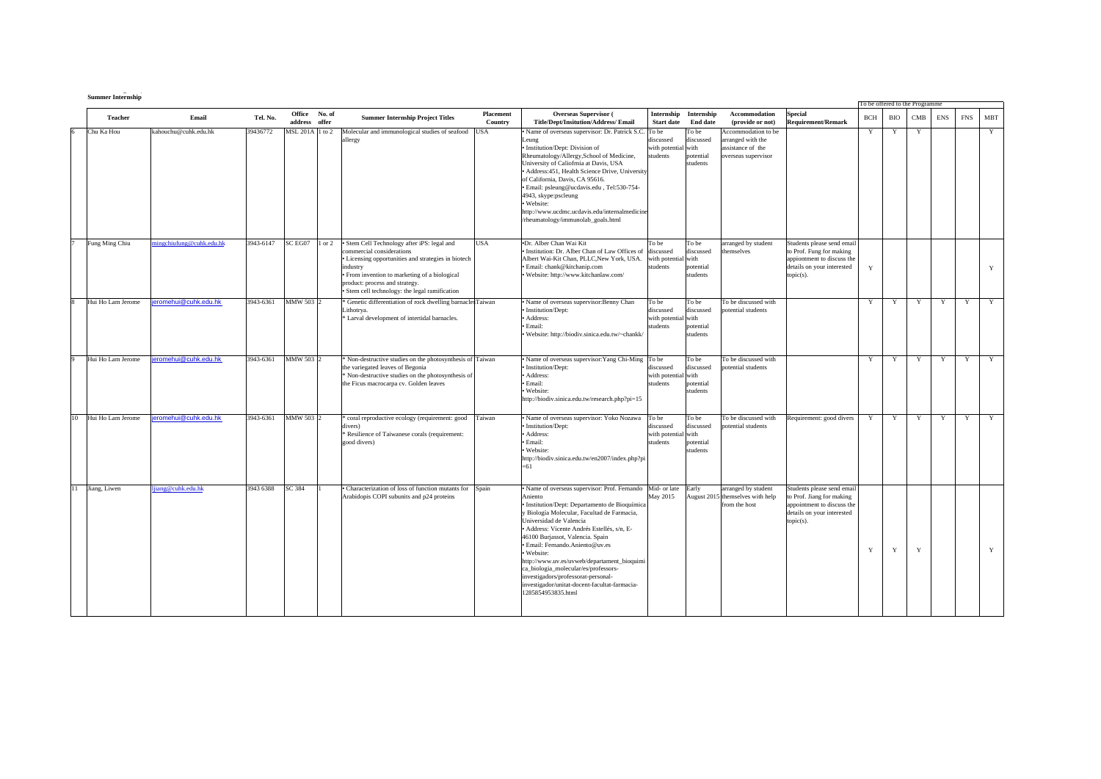|    | <b>Summer Internship</b> |                         |           |                                   |                                                                                                                                                                                                                                                                                  |                      |                                                                                                                                                                                                                                                                                                                                                                                                                                                                                                                |                                                       |                                                     |                                                                                      |                                                                                                                                  | To be offered to the Programme |             |             |             |             |             |
|----|--------------------------|-------------------------|-----------|-----------------------------------|----------------------------------------------------------------------------------------------------------------------------------------------------------------------------------------------------------------------------------------------------------------------------------|----------------------|----------------------------------------------------------------------------------------------------------------------------------------------------------------------------------------------------------------------------------------------------------------------------------------------------------------------------------------------------------------------------------------------------------------------------------------------------------------------------------------------------------------|-------------------------------------------------------|-----------------------------------------------------|--------------------------------------------------------------------------------------|----------------------------------------------------------------------------------------------------------------------------------|--------------------------------|-------------|-------------|-------------|-------------|-------------|
|    | <b>Teacher</b>           | Email                   | Tel. No.  | No. of<br>Office<br>address offer | <b>Summer Internship Project Titles</b>                                                                                                                                                                                                                                          | Placement<br>Country | <b>Overseas Supervisor (</b><br>Title/Dept/Insitution/Address/ Email                                                                                                                                                                                                                                                                                                                                                                                                                                           | Internship<br><b>Start date</b>                       | Internship<br><b>End date</b>                       | Accommodation<br>(provide or not)                                                    | <b>Special</b><br><b>Requirement/Remark</b>                                                                                      | <b>BCH</b>                     | <b>BIO</b>  | CMB         | <b>ENS</b>  | <b>FNS</b>  | <b>MBT</b>  |
|    | Chu Ka Hou               | kahouchu@cuhk.edu.hk    | 39436772  | MSL 201A 1 to 2                   | Molecular and immunological studies of seafood<br>allergy                                                                                                                                                                                                                        | USA                  | Name of overseas supervisor: Dr. Patrick S.C.<br>Leung<br>Institution/Dept: Division of<br>Rheumatology/Allergy, School of Medicine,<br>University of Caliofrnia at Davis, USA<br>Address: 451, Health Science Drive, University<br>of California, Davis, CA 95616.<br>Email: psleung@ucdavis.edu, Tel:530-754-<br>4943, skype:pscleung<br>Website:<br>ttp://www.ucdmc.ucdavis.edu/internalmedicine<br>rheumatology/immunolab_goals.html                                                                       | To be<br>discussed<br>with potential with<br>students | To be<br>discussed<br>potential<br>students         | Accommodation to be<br>arranged with the<br>assistance of the<br>overseas supervisor |                                                                                                                                  | Y                              | Y           | Y           |             |             | Y           |
|    | Fung Ming Chiu           | ingchiufung@cuhk.edu.hk | 3943-6147 | SC EG07<br>1 or 2                 | · Stem Cell Technology after iPS: legal and<br>commercial considerations<br>· Licensing opportunities and strategies in biotech<br>industry<br>· From invention to marketing of a biological<br>product: process and strategy.<br>· Stem cell technology: the legal ramification | USA                  | ·Dr. Alber Chan Wai Kit<br>Institution: Dr. Alber Chan of Law Offices of<br>Albert Wai-Kit Chan, PLLC, New York, USA,<br>Email: chank@kitchanip.com<br>Website: http://www.kitchanlaw.com/                                                                                                                                                                                                                                                                                                                     | To be<br>discussed<br>with potential<br>students      | To be<br>discussed<br>with<br>potential<br>students | arranged by student<br>themselves                                                    | Students please send email<br>to Prof. Fung for making<br>appiontment to discuss the<br>details on your interested<br>topic(s).  | Y                              |             |             |             |             | Y           |
|    | Hui Ho Lam Jerome        | ieromehui@cuhk.edu.hk   | 3943-6361 | MMW 503 2                         | * Genetic differentiation of rock dwelling barnaclesTaiwan<br>Lithotrya.<br>* Larval development of intertidal barnacles.                                                                                                                                                        |                      | Name of overseas supervisor: Benny Chan<br>Institution/Dept:<br>Address:<br>Email:<br>Website: http://biodiv.sinica.edu.tw/~chankk/                                                                                                                                                                                                                                                                                                                                                                            | To be<br>discussed<br>with potential with<br>students | To be<br>discussed<br>potential<br>students         | To be discussed with<br>potential students                                           |                                                                                                                                  | Y                              | Y           | Y           | Y           | Y           | Y           |
|    | Hui Ho Lam Jerome        | eromehui@cuhk.edu.hk    | 3943-6361 | MMW 503 2                         | Non-destructive studies on the photosynthesis of Taiwan<br>the variegated leaves of Begonia<br><sup>8</sup> Non-destructive studies on the photosynthesis of<br>the Ficus macrocarpa cv. Golden leaves                                                                           |                      | Name of overseas supervisor: Yang Chi-Ming To be<br>Institution/Dept:<br>Address:<br>Email:<br>Website:<br>http://biodiv.sinica.edu.tw/research.php?pi=15                                                                                                                                                                                                                                                                                                                                                      | discussed<br>with potential with<br>students          | To be<br>discussed<br>potential<br>students         | To be discussed with<br>otential students                                            |                                                                                                                                  | Y                              | Y           | Y           | Y           | Y           | Y           |
| 10 | Hui Ho Lam Jerome        | eromehui@cuhk.edu.hk    | 3943-6361 | MMW 503 2                         | coral reproductive ecology (requirement: good<br>divers)<br>* Resilience of Taiwanese corals (requirement:<br>good divers)                                                                                                                                                       | Taiwan               | Name of overseas supervisor: Yoko Nozawa<br>Institution/Dept:<br>Address:<br>Email:<br>Website:<br>http://biodiv.sinica.edu.tw/en2007/index.php?pi<br>$=61$                                                                                                                                                                                                                                                                                                                                                    | To be<br>discussed<br>with potential with<br>students | To be<br>discussed<br>potential<br>students         | To be discussed with<br>potential students                                           | Requirement: good divers                                                                                                         | Y                              | Y           | Y           | $\mathbf Y$ | $\mathbf Y$ | $\mathbf Y$ |
| 11 | Jiang, Liwen             | lijang@cuhk.edu.hk      | 3943 6388 | SC 384                            | • Characterization of loss of function mutants for<br>Arabidopis COPI subunits and p24 proteins                                                                                                                                                                                  | Spain                | Name of overseas supervisor: Prof. Fernando<br>Aniento<br>Institution/Dept: Departamento de Bioquímica<br>Biología Molecular, Facultad de Farmacia,<br>Jniversidad de Valencia<br>Address: Vicente Andrés Estellés, s/n, E-<br>46100 Burjassot, Valencia. Spain<br>Email: Fernando.Aniento@uv.es<br>Website:<br>ittp://www.uv.es/uvweb/departament_bioquimi<br>a biologia molecular/es/professors-<br>nvestigadors/professorat-personal-<br>nvestigador/unitat-docent-facultat-farmacia-<br>1285854953835.html | Mid- or late<br>May 2015                              | Early                                               | arranged by student<br>August 2015 themselves with help<br>from the host             | Students please send email<br>to Prof. Jiang for making<br>appointment to discuss the<br>details on your interested<br>topic(s). | $\mathbf Y$                    | $\mathbf Y$ | $\mathbf Y$ |             |             | Y           |

**g (**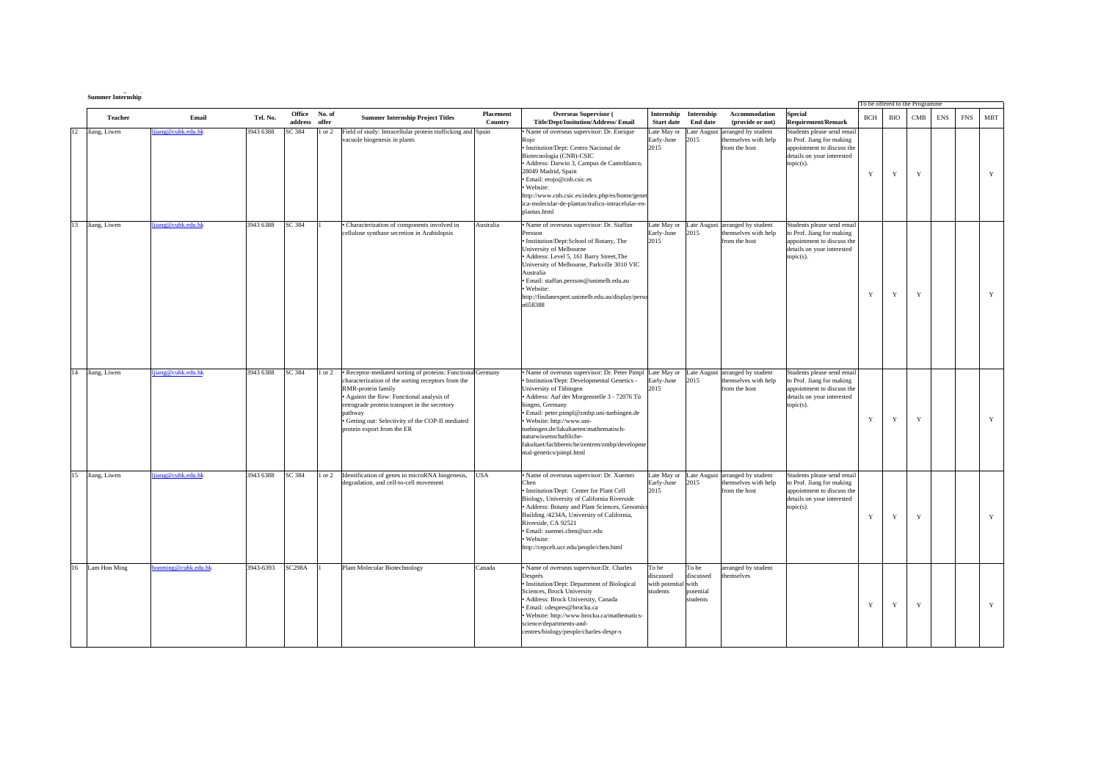|    | <b>Summer Internship</b> |                     |           |                   |                 |                                                                                                                                                                                                                                                                                                                                    |                      |                                                                                                                                                                                                                                                                                                                                                                                                                               |                                                       |                                             |                                                                          |                                                                                                                                  | To be offered to the Programme |             |           |            |            |            |
|----|--------------------------|---------------------|-----------|-------------------|-----------------|------------------------------------------------------------------------------------------------------------------------------------------------------------------------------------------------------------------------------------------------------------------------------------------------------------------------------------|----------------------|-------------------------------------------------------------------------------------------------------------------------------------------------------------------------------------------------------------------------------------------------------------------------------------------------------------------------------------------------------------------------------------------------------------------------------|-------------------------------------------------------|---------------------------------------------|--------------------------------------------------------------------------|----------------------------------------------------------------------------------------------------------------------------------|--------------------------------|-------------|-----------|------------|------------|------------|
|    | Teacher                  | Email               | Tel. No.  | Office<br>address | No. of<br>offer | <b>Summer Internship Project Titles</b>                                                                                                                                                                                                                                                                                            | Placement<br>Country | <b>Overseas Supervisor</b> (<br><b>Title/Dept/Insitution/Address/Email</b>                                                                                                                                                                                                                                                                                                                                                    | Internship<br><b>Start date</b>                       | Internship<br><b>End date</b>               | Accommodation<br>(provide or not)                                        | Special<br><b>Requirement/Remark</b>                                                                                             | <b>BCH</b>                     | BIO         | $\rm CMB$ | <b>ENS</b> | <b>FNS</b> | <b>MBT</b> |
| 12 | Jiang, Liwen             | ljiang@cuhk.edu.hk  | 3943 6388 | SC 384            | $1$ or $2$      | Field of study: Intracellular protein trafficking and Spain<br>vacuole biogenesis in plants                                                                                                                                                                                                                                        |                      | Name of overseas supervisor: Dr. Enrique<br>Roio<br>· Institution/Dept: Centro Nacional de<br>Biotecnología (CNB)-CSIC<br>Address: Darwin 3, Campus de Cantoblanco,<br>28049 Madrid, Spain<br>· Email: eroio@cnb.csic.es<br>· Website:<br>http://www.cnb.csic.es/index.php/es/home/genet<br>ica-molecular-de-plantas/trafico-intracelular-en-<br>plantas.html                                                                 | Late May or<br>Early-June<br>2015                     | Late August<br>2015                         | arranged by student<br>themselves with help<br>from the host             | Students please send email<br>to Prof. Jiang for making<br>appointment to discuss the<br>details on your interested<br>topic(s). | Y                              | Y           | Y         |            |            | Y          |
|    | 13 Jiang, Liwen          | ljiang@cuhk.edu.hk  | 3943 6388 | SC 384            |                 | · Characterization of components involved in<br>cellulose synthase secretion in Arabidopsis                                                                                                                                                                                                                                        | Australia            | · Name of overseas supervisor: Dr. Staffan<br>Persson<br>Institution/Dept:School of Botany, The<br>University of Melbourne<br>Address: Level 5, 161 Barry Street, The<br>University of Melbourne, Parkville 3010 VIC<br>Australia<br>· Email: staffan.persson@unimelb.edu.au<br>· Website:<br>http://findanexpert.unimelb.edu.au/display/perso<br>n658388                                                                     | Late May or<br>Early-June<br>2015                     | 2015                                        | Late August arranged by student<br>themselves with help<br>from the host | Students please send email<br>to Prof. Jiang for making<br>appointment to discuss the<br>details on your interested<br>topic(s). | $\mathbf Y$                    | Y           | Y         |            |            | Y          |
|    | 14 Jiang, Liwen          | ljiang@cuhk.edu.hk  | 3943 6388 | SC 384            | $1$ or $2$      | • Receptor-mediated sorting of proteins: Functional Germany<br>characterization of the sorting receptors from the<br>RMR-protein family<br>Against the flow: Functional analysis of<br>retrograde protein transport in the secretory<br>pathway<br>· Getting out: Selectivity of the COP-II mediated<br>protein export from the ER |                      | Name of overseas supervisor: Dr. Peter Pimpl Late May or<br>Institution/Dept: Developmental Genetics -<br>University of Tübingen<br>Address: Auf der Morgenstelle 3 - 72076 Tü<br>bingen, Germany<br>· Email: peter.pimpl@zmbp.uni-tuebingen.de<br>Website: http://www.uni-<br>tuebingen.de/fakultaeten/mathematisch-<br>naturwissenschaftliche-<br>fakultaet/fachbereiche/zentren/zmbp/developme<br>ntal-genetics/pimpl.html | Early-June<br>2015                                    | 2015                                        | Late August arranged by student<br>themselves with help<br>from the host | Students please send email<br>to Prof. Jiang for making<br>appointment to discuss the<br>details on your interested<br>topic(s). | $\mathbf Y$                    | $\mathbf Y$ | Y         |            |            | Y          |
|    | 15 Jiang, Liwen          | ljiang@cuhk.edu.hk  | 3943 6388 | SC 384            | $1$ or $2$      | Identification of genes in microRNA biogenesis,<br>degradation, and cell-to-cell movement                                                                                                                                                                                                                                          | <b>USA</b>           | · Name of overseas supervisor: Dr. Xuemei<br>Chen<br>· Institution/Dept: Center for Plant Cell<br>Biology, University of California Riverside<br>Address: Botany and Plant Sciences, Genomics<br>Building /4234A, University of California,<br>Riverside, CA 92521<br>Email: xuemei.chen@ucr.edu<br>· Website:<br>http://cepceb.ucr.edu/people/chen.html                                                                      | Late May or<br>Early-June<br>2015                     | 2015                                        | Late August arranged by student<br>themselves with help<br>from the host | Students please send email<br>to Prof. Jiang for making<br>appointment to discuss the<br>details on your interested<br>topic(s). | Y                              | Y           | Y         |            |            | Y          |
| 16 | Lam Hon Ming             | ionming@cuhk.edu.hk | 3943-6393 | <b>SC298A</b>     |                 | <b>Plant Molecular Biotechnology</b>                                                                                                                                                                                                                                                                                               | Canada               | Name of overseas supervisor:Dr. Charles<br>Després<br>Institution/Dept: Department of Biological<br>Sciences, Brock University<br>Address: Brock University, Canada<br>Email: cdespres@brocku.ca<br>Website: http://www.brocku.ca/mathematics-<br>science/departments-and-<br>centres/biology/people/charles-despr-s                                                                                                          | To be<br>discussed<br>with potential with<br>students | To be<br>discussed<br>potential<br>students | arranged by student<br>hemselves                                         |                                                                                                                                  | Y                              | Y           | Y         |            |            | Y          |

**g (**